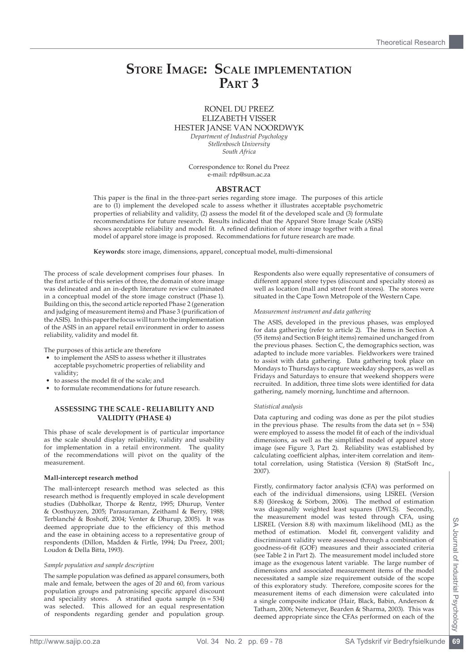# **Store Image: Scale implementation Part 3**

## RONEL DU PREEZ ELIZABETH VISSER HESTER JANSE VAN NOORDWYK *Department of Industrial Psychology Stellenbosch University South Africa*

Correspondence to: Ronel du Preez e-mail: rdp@sun.ac.za

## **ABSTRACT**

This paper is the final in the three-part series regarding store image. The purposes of this article are to (1) implement the developed scale to assess whether it illustrates acceptable psychometric properties of reliability and validity, (2) assess the model fit of the developed scale and (3) formulate recommendations for future research. Results indicated that the Apparel Store Image Scale (ASIS) shows acceptable reliability and model fit. A refined definition of store image together with a final model of apparel store image is proposed. Recommendations for future research are made.

**Keywords**: store image, dimensions, apparel, conceptual model, multi-dimensional

The process of scale development comprises four phases. In the first article of this series of three, the domain of store image was delineated and an in-depth literature review culminated in a conceptual model of the store image construct (Phase 1). Building on this, the second article reported Phase 2 (generation and judging of measurement items) and Phase 3 (purification of the ASIS). In this paper the focus will turn to the implementation of the ASIS in an apparel retail environment in order to assess reliability, validity and model fit.

The purposes of this article are therefore

- to implement the ASIS to assess whether it illustrates acceptable psychometric properties of reliability and validity;
- to assess the model fit of the scale; and
- to formulate recommendations for future research.

### **Assessing the scale - reliability and validity (phase 4)**

This phase of scale development is of particular importance as the scale should display reliability, validity and usability for implementation in a retail environment. The quality of the recommendations will pivot on the quality of the measurement.

#### **Mall-intercept research method**

The mall-intercept research method was selected as this research method is frequently employed in scale development studies (Dabholkar, Thorpe & Rentz, 1995; Dhurup, Venter & Oosthuyzen, 2005; Parasuraman, Zeithaml & Berry, 1988; Terblanché & Boshoff, 2004; Venter & Dhurup, 2005). It was deemed appropriate due to the efficiency of this method and the ease in obtaining access to a representative group of respondents (Dillon, Madden & Firtle, 1994; Du Preez, 2001; Loudon & Della Bitta, 1993).

#### *Sample population and sample description*

The sample population was defined as apparel consumers, both male and female, between the ages of 20 and 60, from various population groups and patronising specific apparel discount and speciality stores. A stratified quota sample  $(n = 534)$ was selected. This allowed for an equal respresentation of respondents regarding gender and population group.

Respondents also were equally representative of consumers of different apparel store types (discount and specialty stores) as well as location (mall and street front stores). The stores were situated in the Cape Town Metropole of the Western Cape.

#### *Measurement instrument and data gathering*

The ASIS, developed in the previous phases, was employed for data gathering (refer to article 2). The items in Section A (55 items) and Section B (eight items) remained unchanged from the previous phases. Section C, the demographics section, was adapted to include more variables. Fieldworkers were trained to assist with data gathering. Data gathering took place on Mondays to Thursdays to capture weekday shoppers, as well as Fridays and Saturdays to ensure that weekend shoppers were recruited. In addition, three time slots were identified for data gathering, namely morning, lunchtime and afternoon.

#### *Statistical analysis*

Data capturing and coding was done as per the pilot studies in the previous phase. The results from the data set  $(n = 534)$ were employed to assess the model fit of each of the individual dimensions, as well as the simplified model of apparel store image (see Figure 3, Part 2). Reliability was established by calculating coefficient alphas, inter-item correlation and itemtotal correlation, using Statistica (Version 8) (StatSoft Inc., 2007).

Firstly, confirmatory factor analysis (CFA) was performed on each of the individual dimensions, using LISREL (Version 8.8) (Jöreskog & Sörbom, 2006). The method of estimation was diagonally weighted least squares (DWLS). Secondly, the measurement model was tested through CFA, using LISREL (Version 8.8) with maximum likelihood (ML) as the method of estimation. Model fit, convergent validity and discriminant validity were assessed through a combination of goodness-of-fit (GOF) measures and their associated criteria (see Table 2 in Part 2). The measurement model included store image as the exogenous latent variable. The large number of dimensions and associated measurement items of the model necessitated a sample size requirement outside of the scope of this exploratory study. Therefore, composite scores for the measurement items of each dimension were calculated into a single composite indicator (Hair, Black, Babin, Anderson & Tatham, 2006; Netemeyer, Bearden & Sharma, 2003). This was deemed appropriate since the CFAs performed on each of the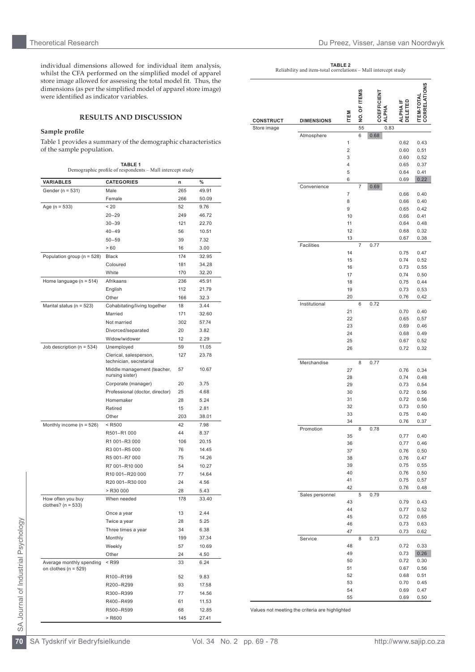individual dimensions allowed for individual item analysis, whilst the CFA performed on the simplified model of apparel store image allowed for assessing the total model fit. Thus, the dimensions (as per the simplified model of apparel store image) were identified as indicator variables.

# **RESULTS AND DISCUSSION**

#### **Sample profile**

Table 1 provides a summary of the demographic characteristics of the sample population.

|                                                      | <b>TABLE 1</b><br>Demographic profile of respondents - Mall intercept study |     |       |
|------------------------------------------------------|-----------------------------------------------------------------------------|-----|-------|
| <b>VARIABLES</b>                                     | <b>CATEGORIES</b>                                                           | n   | $\%$  |
| Gender (n = 531)                                     | Male                                                                        | 265 | 49.91 |
|                                                      | Female                                                                      | 266 | 50.09 |
| Age (n = 533)                                        | < 20                                                                        | 52  | 9.76  |
|                                                      | $20 - 29$                                                                   | 249 | 46.72 |
|                                                      | $30 - 39$                                                                   | 121 | 22.70 |
|                                                      | $40 - 49$                                                                   | 56  | 10.51 |
|                                                      | $50 - 59$                                                                   | 39  | 7.32  |
|                                                      | >60                                                                         | 16  | 3.00  |
| Population group ( $n = 528$ )                       | <b>Black</b>                                                                | 174 | 32.95 |
|                                                      | Coloured                                                                    | 181 | 34.28 |
|                                                      | White                                                                       | 170 | 32.20 |
| Home language ( $n = 514$ )                          | Afrikaans                                                                   | 236 | 45.91 |
|                                                      | English                                                                     | 112 | 21.79 |
|                                                      | Other                                                                       | 166 | 32.3  |
| Marital status (n = 523)                             | Cohabitating/living together                                                | 18  | 3.44  |
|                                                      | Married                                                                     | 171 | 32.60 |
|                                                      | Not married                                                                 | 302 | 57.74 |
|                                                      | Divorced/separated                                                          | 20  | 3.82  |
|                                                      | Widow/widower                                                               | 12  | 2.29  |
| Job description ( $n = 534$ )                        | Unemployed                                                                  | 59  | 11.05 |
|                                                      | Clerical, salesperson,<br>technician, secretarial                           | 127 | 23.78 |
|                                                      | Middle management (teacher,<br>nursing sister)                              | 57  | 10.67 |
|                                                      | Corporate (manager)                                                         | 20  | 3.75  |
|                                                      | Professional (doctor, director)                                             | 25  | 4.68  |
|                                                      | Homemaker                                                                   | 28  | 5.24  |
|                                                      | Retired                                                                     | 15  | 2.81  |
|                                                      | Other                                                                       | 203 | 38.01 |
| Monthly income ( $n = 526$ )                         | $<$ R500                                                                    | 42  | 7.98  |
|                                                      | R501-R1 000                                                                 | 44  | 8.37  |
|                                                      | R1 001-R3 000                                                               | 106 | 20.15 |
|                                                      | R3 001-R5 000                                                               | 76  | 14.45 |
|                                                      | R5 001-R7 000                                                               | 75  | 14.26 |
|                                                      | R7 001-R10 000                                                              | 54  | 10.27 |
|                                                      | R10 001-R20 000                                                             | 77  | 14.64 |
|                                                      | R20 001-R30 000                                                             | 24  | 4.56  |
|                                                      | $>$ R30000                                                                  | 28  | 5.43  |
| How often you buy<br>clothes? ( $n = 533$ )          | When needed                                                                 | 178 | 33.40 |
|                                                      | Once a year                                                                 | 13  | 2.44  |
|                                                      | Twice a year                                                                | 28  | 5.25  |
|                                                      | Three times a year                                                          | 34  | 6.38  |
|                                                      | Monthly                                                                     | 199 | 37.34 |
|                                                      | Weekly                                                                      | 57  | 10.69 |
|                                                      | Other                                                                       | 24  | 4.50  |
| Average monthly spending<br>on clothes ( $n = 529$ ) | $<$ R $99$                                                                  | 33  | 6.24  |
|                                                      | R100-R199                                                                   | 52  | 9.83  |
|                                                      | R200-R299                                                                   | 93  | 17.58 |
|                                                      | R300-R399                                                                   | 77  | 14.56 |
|                                                      | R400-R499                                                                   | 61  | 11.53 |
|                                                      | R500-R599                                                                   | 68  | 12.85 |
|                                                      | > R600                                                                      | 145 | 27.41 |

**TABLE 2**<br>Reliability and item-total correlations – Mall intercept study

| <b>CONSTRUCT</b> | <b>DIMENSIONS</b> | ITEM                         | NO. OF ITEMS   | <b>COEFFICIENT</b><br>ALPHA | DELETED<br>ALPHAI | <b>CORRELATIONS</b><br><b>TEM-TOTAL</b> |
|------------------|-------------------|------------------------------|----------------|-----------------------------|-------------------|-----------------------------------------|
| Store image      |                   |                              | 55             | 0.83                        |                   |                                         |
|                  | Atmosphere        |                              | 6              | 0.68                        |                   |                                         |
|                  |                   | 1                            |                |                             | 0.62              | 0.43                                    |
|                  |                   | $\overline{\mathbf{c}}$<br>3 |                |                             | 0.60              | 0.51                                    |
|                  |                   | 4                            |                |                             | 0.60<br>0.65      | 0.52<br>0.37                            |
|                  |                   | 5                            |                |                             | 0.64              | 0.41                                    |
|                  |                   | 6                            |                |                             | 0.69              | 0.22                                    |
|                  | Convenience       |                              | $\overline{7}$ | 0.69                        |                   |                                         |
|                  |                   | 7                            |                |                             | 0.66              | 0.40                                    |
|                  |                   | 8                            |                |                             | 0.66              | 0.40                                    |
|                  |                   | 9<br>10                      |                |                             | 0.65<br>0.66      | 0.42<br>0.41                            |
|                  |                   | 11                           |                |                             | 0.64              | 0.48                                    |
|                  |                   | 12                           |                |                             | 0.68              | 0.32                                    |
|                  |                   | 13                           |                |                             | 0.67              | 0.38                                    |
|                  | Facilities        |                              | 7              | 0.77                        |                   |                                         |
|                  |                   | 14                           |                |                             | 0.75              | 0.47                                    |
|                  |                   | 15                           |                |                             | 0.74              | 0.52                                    |
|                  |                   | 16<br>17                     |                |                             | 0.73<br>0.74      | 0.55<br>0.50                            |
|                  |                   | 18                           |                |                             | 0.75              | 0.44                                    |
|                  |                   | 19                           |                |                             | 0.73              | 0.53                                    |
|                  |                   | 20                           |                |                             | 0.76              | 0.42                                    |
|                  | Institutional     |                              | 6              | 0.72                        |                   |                                         |
|                  |                   | 21                           |                |                             | 0.70              | 0.40                                    |
|                  |                   | 22                           |                |                             | 0.65              | 0.57                                    |
|                  |                   | 23<br>24                     |                |                             | 0.69<br>0.68      | 0.46<br>0.49                            |
|                  |                   | 25                           |                |                             | 0.67              | 0.52                                    |
|                  |                   | 26                           |                |                             | 0.72              | 0.32                                    |
|                  | Merchandise       |                              | 8              | 0.77                        |                   |                                         |
|                  |                   | 27                           |                |                             | 0.76              | 0.34                                    |
|                  |                   | 28                           |                |                             | 0.74              | 0.48                                    |
|                  |                   | 29                           |                |                             | 0.73              | 0.54                                    |
|                  |                   | 30                           |                |                             | 0.72              | 0.56                                    |
|                  |                   | 31                           |                |                             | 0.72              | 0.56                                    |
|                  |                   | 32<br>33                     |                |                             | 0.73<br>0.75      | 0.50<br>0.40                            |
|                  |                   | 34                           |                |                             | 0.76              | 0.37                                    |
|                  | Promotion         |                              | 8              | 0.78                        |                   |                                         |
|                  |                   | 35                           |                |                             | 0.77              | 0.40                                    |
|                  |                   | 36                           |                |                             | 0.77              | 0.46                                    |
|                  |                   | 37                           |                |                             | 0.76              | 0.50                                    |
|                  |                   | 38                           |                |                             | 0.76              | 0.47                                    |
|                  |                   | 39<br>40                     |                |                             | 0.75<br>0.76      | 0.55<br>0.50                            |
|                  |                   | 41                           |                |                             | 0.75              | 0.57                                    |
|                  |                   | 42                           |                |                             | 0.76              | 0.48                                    |
|                  | Sales personnel   |                              | 5              | 0.79                        |                   |                                         |
|                  |                   | 43                           |                |                             | 0.79              | 0.43                                    |
|                  |                   | 44                           |                |                             | 0.77              | 0.52                                    |
|                  |                   | 45<br>46                     |                |                             | 0.72              | 0.65                                    |
|                  |                   | 47                           |                |                             | 0.73<br>0.73      | 0.63<br>0.62                            |
|                  | Service           |                              | 8              | 0.73                        |                   |                                         |
|                  |                   | 48<br>49                     |                |                             | 0.72              | 0.33<br>0.26                            |
|                  |                   | 50                           |                |                             | 0.73<br>0.72      | 0.30                                    |
|                  |                   | 51                           |                |                             | 0.67              | 0.56                                    |
|                  |                   | 52                           |                |                             | 0.68              | 0.51                                    |
|                  |                   | 53                           |                |                             | 0.70              | 0.45                                    |
|                  |                   | 54                           |                |                             | 0.69              | 0.47                                    |
|                  |                   | 55                           |                |                             | 0.69              | 0.50                                    |

Values not meeting the criteria are highlighted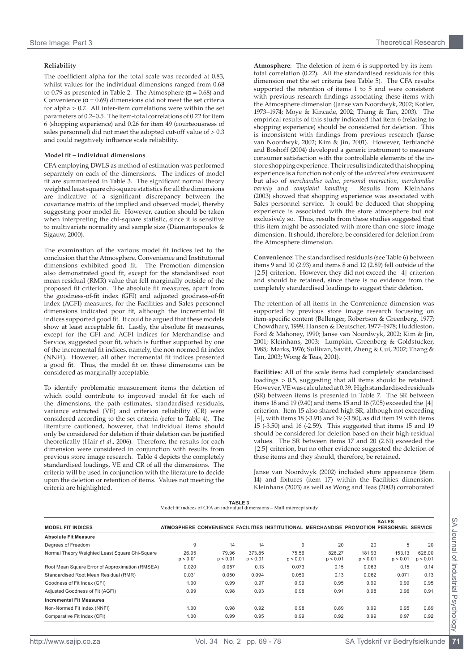## **Reliability**

The coefficient alpha for the total scale was recorded at 0.83, whilst values for the individual dimensions ranged from 0.68 to 0.79 as presented in Table 2. The Atmosphere ( $\alpha$  = 0.68) and Convenience ( $\alpha$  = 0.69) dimensions did not meet the set criteria for alpha > 0.7. All inter-item correlations were within the set parameters of 0.2–0.5. The item-total correlations of 0.22 for item 6 (shopping experience) and 0.26 for item 49 (courteousness of sales personnel) did not meet the adopted cut-off value of  $> 0.3$ and could negatively influence scale reliability.

## **Model fit – individual dimensions**

CFA employing DWLS as method of estimation was performed separately on each of the dimensions. The indices of model fit are summarised in Table 3. The significant normal theory weighted least square chi-square statistics for all the dimensions are indicative of a significant discrepancy between the covariance matrix of the implied and observed model, thereby suggesting poor model fit. However, caution should be taken when interpreting the chi-square statistic, since it is sensitive to multivariate normality and sample size (Diamantopoulos & Sigauw, 2000).

The examination of the various model fit indices led to the conclusion that the Atmosphere, Convenience and Institutional dimensions exhibited good fit. The Promotion dimension also demonstrated good fit, except for the standardised root mean residual (RMR) value that fell marginally outside of the proposed fit criterion. The absolute fit measures, apart from the goodness-of-fit index (GFI) and adjusted goodness-of-fit index (AGFI) measures, for the Facilities and Sales personnel dimensions indicated poor fit, although the incremental fit indices supported good fit. It could be argued that these models show at least acceptable fit. Lastly, the absolute fit measures, except for the GFI and AGFI indices for Merchandise and Service, suggested poor fit, which is further supported by one of the incremental fit indices, namely, the non-normed fit index (NNFI). However, all other incremental fit indices presented a good fit. Thus, the model fit on these dimensions can be considered as marginally acceptable.

To identify problematic measurement items the deletion of which could contribute to improved model fit for each of the dimensions, the path estimates, standardised residuals, variance extracted (VE) and criterion reliability (CR) were considered according to the set criteria (refer to Table 4). The literature cautioned, however, that individual items should only be considered for deletion if their deletion can be justified theoretically (Hair *et al*., 2006). Therefore, the results for each dimension were considered in conjunction with results from previous store image research. Table 4 depicts the completely standardised loadings, VE and CR of all the dimensions. The criteria will be used in conjunction with the literature to decide upon the deletion or retention of items. Values not meeting the criteria are highlighted.

**Atmosphere**: The deletion of item 6 is supported by its itemtotal correlation (0.22). All the standardised residuals for this dimension met the set criteria (see Table 5). The CFA results supported the retention of items 1 to 5 and were consistent with previous research findings associating these items with the Atmosphere dimension (Janse van Noordwyk, 2002; Kotler, 1973–1974; Moye & Kincade, 2002; Thang & Tan, 2003). The empirical results of this study indicated that item 6 (relating to shopping experience) should be considered for deletion. This is inconsistent with findings from previous research (Janse van Noordwyk, 2002; Kim & Jin, 2001). However, Terblanché and Boshoff (2004) developed a generic instrument to measure consumer satisfaction with the controllable elements of the instore shopping experience. Their results indicated that shopping experience is a function not only of the *internal store environment* but also of *merchandise value*, *personal interaction, merchandise variety* and *complaint* handling. (2003) showed that shopping experience was associated with Sales personnel service. It could be deduced that shopping experience is associated with the store atmosphere but not exclusively so. Thus, results from these studies suggested that this item might be associated with more than one store image dimension. It should, therefore, be considered for deletion from the Atmosphere dimension.

**Convenience**: The standardised residuals (see Table 6) between items 9 and 10 (2.93) and items 8 and 12 (2.89) fell outside of the |2.5| criterion. However, they did not exceed the |4| criterion and should be retained, since there is no evidence from the completely standardised loadings to suggest their deletion.

The retention of all items in the Convenience dimension was supported by previous store image research focussing on item-specific content (Bellenger, Robertson & Greenberg, 1977; Chowdhary, 1999; Hansen & Deutscher, 1977–1978; Huddleston, Ford & Mahoney, 1990; Janse van Noordwyk, 2002; Kim & Jin, 2001; Kleinhans, 2003; Lumpkin, Greenberg & Goldstucker, 1985; Marks, 1976; Sullivan, Savitt, Zheng & Cui, 2002; Thang & Tan, 2003; Wong & Teas, 2001).

**Facilities**: All of the scale items had completely standardised loadings > 0.5, suggesting that all items should be retained. However, VE was calculated at 0.39. High standardised residuals (SR) between items is presented in Table 7. The SR between items 18 and 19 (9.40) and items 15 and 16 (7.05) exceeded the |4| criterion. Item 15 also shared high SR, although not exceeding |4|, with items 18 (-3.91) and 19 (-3.50), as did item 19 with items 15 (-3.50) and 16 (-2.59). This suggested that items 15 and 19 should be considered for deletion based on their high residual values. The SR between items 17 and 20 (2.61) exceeded the |2.5| criterion, but no other evidence suggested the deletion of these items and they should, therefore, be retained.

Janse van Noordwyk (2002) included store appearance (item 14) and fixtures (item 17) within the Facilities dimension. Kleinhans (2003) as well as Wong and Teas (2003) corroborated

|                                                                          | <b>TABLE 3</b> |  |
|--------------------------------------------------------------------------|----------------|--|
| Model fit indices of CFA on individual dimensions - Mall intercept study |                |  |

|                                                 |                   |                   |                    |                                                                                         |                    |                    | <b>SALES</b>       |                    |
|-------------------------------------------------|-------------------|-------------------|--------------------|-----------------------------------------------------------------------------------------|--------------------|--------------------|--------------------|--------------------|
| <b>MODEL FIT INDICES</b>                        |                   |                   |                    | ATMOSPHERE CONVENIENCE FACILITIES INSTITUTIONAL MERCHANDISE PROMOTION PERSONNEL SERVICE |                    |                    |                    |                    |
| <b>Absolute Fit Measure</b>                     |                   |                   |                    |                                                                                         |                    |                    |                    |                    |
| Degrees of Freedom                              | 9                 | 14                | 14                 | 9                                                                                       | 20                 | 20                 | 5                  | 20                 |
| Normal Theory Weighted Least Square Chi-Square  | 26.95<br>p < 0.01 | 79.96<br>p < 0.01 | 373.85<br>p < 0.01 | 75.56<br>p < 0.01                                                                       | 826.27<br>p < 0.01 | 181.93<br>p < 0.01 | 153.13<br>p < 0.01 | 626.00<br>p < 0.01 |
| Root Mean Square Error of Approximation (RMSEA) | 0.020             | 0.057             | 0.13               | 0.073                                                                                   | 0.15               | 0.063              | 0.15               | 0.14               |
| Standardised Root Mean Residual (RMR)           | 0.031             | 0.050             | 0.094              | 0.050                                                                                   | 0.13               | 0.062              | 0.071              | 0.13               |
| Goodness of Fit Index (GFI)                     | 1.00              | 0.99              | 0.97               | 0.99                                                                                    | 0.95               | 0.99               | 0.99               | 0.95               |
| Adjusted Goodness of Fit (AGFI)                 | 0.99              | 0.98              | 0.93               | 0.98                                                                                    | 0.91               | 0.98               | 0.96               | 0.91               |
| <b>Incremental Fit Measures</b>                 |                   |                   |                    |                                                                                         |                    |                    |                    |                    |
| Non-Normed Fit Index (NNFI)                     | 1.00              | 0.98              | 0.92               | 0.98                                                                                    | 0.89               | 0.99               | 0.95               | 0.89               |
| Comparative Fit Index (CFI)                     | 1.00              | 0.99              | 0.95               | 0.99                                                                                    | 0.92               | 0.99               | 0.97               | 0.92               |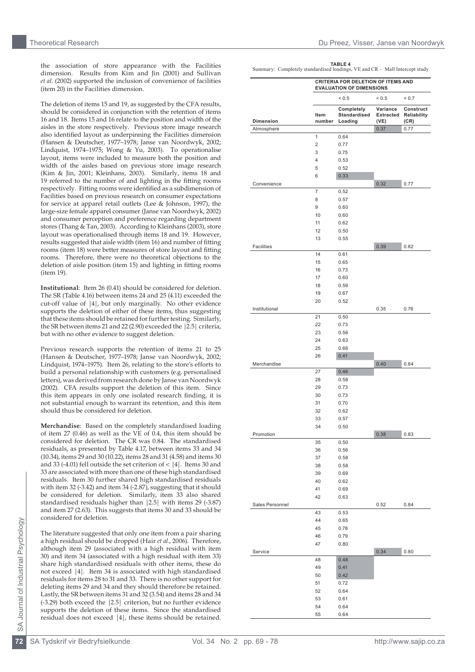the association of store appearance with the Facilities dimension. Results from Kim and Jin (2001) and Sullivan *et al*. (2002) supported the inclusion of convenience of facilities (item 20) in the Facilities dimension.

The deletion of items 15 and 19, as suggested by the CFA results, should be considered in conjunction with the retention of items 16 and 18. Items 15 and 16 relate to the position and width of the aisles in the store respectively. Previous store image research also identified layout as underpinning the Facilities dimension (Hansen & Deutscher, 1977–1978; Janse van Noordwyk, 2002; Lindquist, 1974–1975; Wong & Yu, 2003). To operationalise layout, items were included to measure both the position and width of the aisles based on previous store image research (Kim & Jin, 2001; Kleinhans, 2003). Similarly, items 18 and 19 referred to the number of and lighting in the fitting rooms respectively. Fitting rooms were identified as a subdimension of Facilities based on previous research on consumer expectations for service at apparel retail outlets (Lee & Johnson, 1997), the large-size female apparel consumer (Janse van Noordwyk, 2002) and consumer perception and preference regarding department stores (Thang & Tan, 2003). According to Kleinhans (2003), store layout was operationalised through items 18 and 19. However, results suggested that aisle width (item 16) and number of fitting rooms (item 18) were better measures of store layout and fitting rooms. Therefore, there were no theoretical objections to the deletion of aisle position (item 15) and lighting in fitting rooms (item 19).

**Institutional**: Item 26 (0.41) should be considered for deletion. The SR (Table 4.16) between items 24 and 25 (4.11) exceeded the cut-off value of |4|, but only marginally. No other evidence supports the deletion of either of these items, thus suggesting that these items should be retained for further testing. Similarly, the SR between items 21 and 22 (2.90) exceeded the |2.5| criteria, but with no other evidence to suggest deletion.

Previous research supports the retention of items 21 to 25 (Hansen & Deutscher, 1977–1978; Janse van Noordwyk, 2002; Lindquist, 1974–1975). Item 26, relating to the store's efforts to build a personal relationship with customers (e.g. personalised letters), was derived from research done by Janse van Noordwyk (2002). CFA results support the deletion of this item. Since this item appears in only one isolated research finding, it is not substantial enough to warrant its retention, and this item should thus be considered for deletion.

**Merchandise**: Based on the completely standardised loading of item 27 (0.46) as well as the VE of 0.4, this item should be considered for deletion. The CR was 0.84. The standardised residuals, as presented by Table 4.17, between items 33 and 34 (10.34), items 29 and 30 (10.22), items 28 and 31 (4.58) and items 30 and 33 (-4.01) fell outside the set criterion of < |4|. Items 30 and 33 are associated with more than one of these high standardised residuals. Item 30 further shared high standardised residuals with item 32 (-3.42) and item 34 (-2.87), suggesting that it should be considered for deletion. Similarly, item 33 also shared standardised residuals higher than |2.5| with items 29 (-3.87) and item 27 (2.63). This suggests that items 30 and 33 should be considered for deletion.

The literature suggested that only one item from a pair sharing a high residual should be dropped (Hair *et al*., 2006). Therefore, although item 29 (associated with a high residual with item 30) and item 34 (associated with a high residual with item 33) share high standardised residuals with other items, these do not exceed |4|. Item 34 is associated with high standardised residuals for items 28 to 31 and 33. There is no other support for deleting items 29 and 34 and they should therefore be retained. Lastly, the SR between items 31 and 32 (3.54) and items 28 and 34 (-3.29) both exceed the |2.5| criterion, but no further evidence supports the deletion of these items. Since the standardised residual does not exceed |4|, these items should be retained.

 $TABIFA$ Summary: Completely standardised loadings, VE and CR – Mall Intercept study

|                  |                | CRITERIA FOR DELETION OF ITEMS AND<br><b>EVALUATION OF DIMENSIONS</b> |                               |                                  |  |  |  |
|------------------|----------------|-----------------------------------------------------------------------|-------------------------------|----------------------------------|--|--|--|
|                  |                | ${}_{0.5}$                                                            | ${}_{0.5}$                    | < 0.7                            |  |  |  |
| <b>Dimension</b> | Item<br>number | Completely<br>Standardised<br>Loading                                 | Variance<br>Extracted<br>(VE) | Construct<br>Reliability<br>(CR) |  |  |  |
| Atmosphere       |                |                                                                       | 0.37                          | 0.77                             |  |  |  |
|                  | 1              | 0.64                                                                  |                               |                                  |  |  |  |
|                  | $\overline{2}$ | 0.77                                                                  |                               |                                  |  |  |  |
|                  | 3              | 0.75                                                                  |                               |                                  |  |  |  |
|                  | 4              | 0.53                                                                  |                               |                                  |  |  |  |
|                  | 5              | 0.52                                                                  |                               |                                  |  |  |  |
|                  | 6              | 0.33                                                                  |                               |                                  |  |  |  |
| Convenience      |                |                                                                       | 0.32                          | 0.77                             |  |  |  |
|                  | 7              | 0.52                                                                  |                               |                                  |  |  |  |
|                  | 8              | 0.57                                                                  |                               |                                  |  |  |  |
|                  | 9              | 0.60                                                                  |                               |                                  |  |  |  |
|                  | 10             | 0.60                                                                  |                               |                                  |  |  |  |
|                  | 11             | 0.62                                                                  |                               |                                  |  |  |  |
|                  | 12             | 0.50                                                                  |                               |                                  |  |  |  |
|                  | 13             | 0.55                                                                  |                               |                                  |  |  |  |
| Facilities       |                |                                                                       | 0.39                          | 0.82                             |  |  |  |
|                  | 14             | 0.61                                                                  |                               |                                  |  |  |  |
|                  | 15             | 0.65                                                                  |                               |                                  |  |  |  |
|                  | 16             | 0.73                                                                  |                               |                                  |  |  |  |
|                  | 17             | 0.60                                                                  |                               |                                  |  |  |  |
|                  | 18             | 0.59                                                                  |                               |                                  |  |  |  |
|                  | 19             | 0.67                                                                  |                               |                                  |  |  |  |
|                  | 20             | 0.52                                                                  |                               |                                  |  |  |  |
| Institutional    |                |                                                                       | 0.35                          | 0.76                             |  |  |  |
|                  | 21             | 0.50                                                                  |                               |                                  |  |  |  |
|                  | 22             | 0.73                                                                  |                               |                                  |  |  |  |
|                  | 23             | 0.56                                                                  |                               |                                  |  |  |  |
|                  | 24             | 0.63                                                                  |                               |                                  |  |  |  |
|                  | 25             | 0.66                                                                  |                               |                                  |  |  |  |
|                  | 26             | 0.41                                                                  |                               |                                  |  |  |  |
| Merchandise      |                |                                                                       | 0.40                          | 0.84                             |  |  |  |
|                  | 27             | 0.46                                                                  |                               |                                  |  |  |  |
|                  | 28             | 0.58                                                                  |                               |                                  |  |  |  |
|                  | 29             | 0.73                                                                  |                               |                                  |  |  |  |
|                  | 30             | 0.73                                                                  |                               |                                  |  |  |  |
|                  | 31             | 0.70                                                                  |                               |                                  |  |  |  |
|                  | 32             | 0.62                                                                  |                               |                                  |  |  |  |
|                  | 33             | 0.57                                                                  |                               |                                  |  |  |  |
|                  | 34             | 0.50                                                                  |                               |                                  |  |  |  |
| Promotion        |                |                                                                       | 0.38                          | 0.83                             |  |  |  |
|                  | 35             | 0.50                                                                  |                               |                                  |  |  |  |
|                  | 36             | 0.56                                                                  |                               |                                  |  |  |  |
|                  | 37             | 0.58                                                                  |                               |                                  |  |  |  |
|                  | 38             | 0.58                                                                  |                               |                                  |  |  |  |
|                  | 39             | 0.69                                                                  |                               |                                  |  |  |  |
|                  | 40             | 0.62                                                                  |                               |                                  |  |  |  |
|                  | 41             | 0.69                                                                  |                               |                                  |  |  |  |
|                  | 42             | 0.63                                                                  |                               |                                  |  |  |  |
| Sales Personnel  |                |                                                                       | 0.52                          | 0.84                             |  |  |  |
|                  | 43             | 0.53                                                                  |                               |                                  |  |  |  |
|                  | 44             | 0.65                                                                  |                               |                                  |  |  |  |
|                  | 45             | 0.78                                                                  |                               |                                  |  |  |  |
|                  | 46             | 0.79                                                                  |                               |                                  |  |  |  |
|                  | 47             | 0.80                                                                  |                               |                                  |  |  |  |
| Service          |                |                                                                       | 0.34                          | 0.80                             |  |  |  |
|                  | 48             | 0.48                                                                  |                               |                                  |  |  |  |
|                  | 49             | 0.41                                                                  |                               |                                  |  |  |  |
|                  | 50             | 0.42                                                                  |                               |                                  |  |  |  |
|                  | 51             | 0.72                                                                  |                               |                                  |  |  |  |
|                  | 52             | 0.64                                                                  |                               |                                  |  |  |  |
|                  | 53             | 0.61                                                                  |                               |                                  |  |  |  |
|                  | 54             | 0.64                                                                  |                               |                                  |  |  |  |
|                  | 55             | 0.64                                                                  |                               |                                  |  |  |  |
|                  |                |                                                                       |                               |                                  |  |  |  |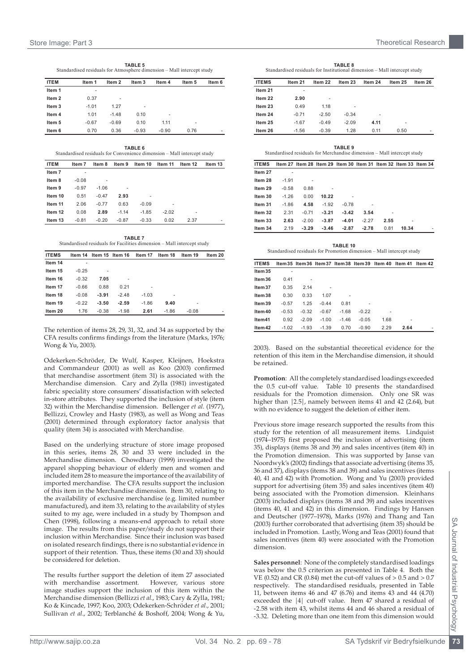**TABLE 5**<br>Standardised residuals for Atmosphere dimension – Mall intercept study

| <b>ITEM</b>       | Item 1  | Item 2  | Item 3         | Item 4  | Item 5 | Item 6 |
|-------------------|---------|---------|----------------|---------|--------|--------|
| Item 1            |         |         |                |         |        |        |
| Item 2            | 0.37    | ٠       |                |         |        |        |
| Item <sub>3</sub> | $-1.01$ | 1.27    | $\overline{a}$ |         |        |        |
| Item 4            | 1.01    | $-1.48$ | 0.10           | ۰       |        |        |
| Item 5            | $-0.67$ | $-0.69$ | 0.10           | 1.11    | ۰      |        |
| Item 6            | 0.70    | 0.36    | $-0.93$        | $-0.90$ | 0.76   | ۰      |

**Table 6** Standardised residuals for Convenience dimension – Mall intercept study

| <b>ITEM</b>       | Item 7  | Item 8  | Item 9  | Item 10 | Item 11 | Item 12 | Item 13 |
|-------------------|---------|---------|---------|---------|---------|---------|---------|
| Item <sub>7</sub> |         |         |         |         |         |         |         |
| Item 8            | $-0.08$ |         |         |         |         |         |         |
| Item 9            | $-0.97$ | $-1.06$ |         |         |         |         |         |
| Item 10           | 0.51    | $-0.47$ | 2.93    |         |         |         |         |
| Item 11           | 2.06    | $-0.77$ | 0.63    | $-0.09$ |         |         |         |
| Item 12           | 0.08    | 2.89    | $-1.14$ | $-1.85$ | $-2.02$ |         |         |
| Item 13           | $-0.81$ | $-0.20$ | $-0.87$ | $-0.33$ | 0.02    | 2.37    |         |
|                   |         |         |         |         |         |         |         |

| <b>TABLE 7</b>                                                         |
|------------------------------------------------------------------------|
| Standardised residuals for Facilities dimension - Mall intercept study |

| <b>ITEMS</b> |         | Item 14 Item 15 Item 16 |         | Item 17 | Item 18 | Item 19 | Item 20 |
|--------------|---------|-------------------------|---------|---------|---------|---------|---------|
| Item 14      | ۰       |                         |         |         |         |         |         |
| Item 15      | $-0.25$ | ٠                       |         |         |         |         |         |
| Item 16      | $-0.32$ | 7.05                    |         |         |         |         |         |
| Item 17      | $-0.66$ | 0.88                    | 0.21    | ۰       |         |         |         |
| Item 18      | $-0.08$ | $-3.91$                 | $-2.48$ | $-1.03$ | -       |         |         |
| Item 19      | $-0.22$ | $-3.50$                 | $-2.59$ | $-1.86$ | 9.40    |         |         |
| Item 20      | 1.76    | $-0.38$                 | $-1.98$ | 2.61    | $-1.86$ | $-0.08$ | ۰       |

The retention of items 28, 29, 31, 32, and 34 as supported by the CFA results confirms findings from the literature (Marks, 1976; Wong & Yu, 2003).

Odekerken-Schröder, De Wulf, Kasper, Kleijnen, Hoekstra and Commandeur (2001) as well as Koo (2003) confirmed that merchandise assortment (item 31) is associated with the Merchandise dimension. Cary and Zylla (1981) investigated fabric speciality store consumers' dissatisfaction with selected in-store attributes. They supported the inclusion of style (item 32) within the Merchandise dimension. Bellenger *et al*. (1977), Bellizzi, Crowley and Hasty (1983), as well as Wong and Teas (2001) determined through exploratory factor analysis that quality (item 34) is associated with Merchandise.

Based on the underlying structure of store image proposed in this series, items 28, 30 and 33 were included in the Merchandise dimension. Chowdhary (1999) investigated the apparel shopping behaviour of elderly men and women and included item 28 to measure the importance of the availability of imported merchandise. The CFA results support the inclusion of this item in the Merchandise dimension. Item 30, relating to the availability of exclusive merchandise (e.g. limited number manufactured), and item 33, relating to the availability of styles suited to my age, were included in a study by Thompson and Chen (1998), following a means-end approach to retail store image. The results from this paper/study do not support their inclusion within Merchandise. Since their inclusion was based on isolated research findings, there is no substantial evidence in support of their retention. Thus, these items (30 and 33) should be considered for deletion.

The results further support the deletion of item 27 associated<br>with merchandise assortment. However, various store with merchandise assortment. image studies support the inclusion of this item within the Merchandise dimension (Bellizzi *et al*., 1983; Cary & Zylla, 1981; Ko & Kincade, 1997; Koo, 2003; Odekerken-Schröder *et al*., 2001; Sullivan *et al*., 2002; Terblanché & Boshoff, 2004; Wong & Yu,

**Table 8** Standardised residuals for Institutional dimension – Mall intercept study

| <b>ITEMS</b> | Item 21 | Item 22 | Item 23 | Item 24 | Item 25 | Item 26 |
|--------------|---------|---------|---------|---------|---------|---------|
| Item 21      | ۰       |         |         |         |         |         |
| Item 22      | 2.90    | ۰       |         |         |         |         |
| Item 23      | 0.49    | 1.18    | ٠       |         |         |         |
| Item 24      | $-0.71$ | $-2.50$ | $-0.34$ |         |         |         |
| Item 25      | $-1.67$ | $-0.49$ | $-2.09$ | 4.11    | ۰       |         |
| Item 26      | $-1.56$ | $-0.39$ | 1.28    | 0.11    | 0.50    | -       |

**TABLE 9**<br>Standardised residuals for Merchandise dimension – Mall intercept study

| <b>ITEMS</b> |         |         | Item 27 Item 28 Item 29 Item 30 Item 31 Item 32 Item 33 Item 34 |         |                |                |       |  |
|--------------|---------|---------|-----------------------------------------------------------------|---------|----------------|----------------|-------|--|
| Item 27      |         |         |                                                                 |         |                |                |       |  |
| Item 28      | $-1.91$ |         |                                                                 |         |                |                |       |  |
| Item 29      | $-0.58$ | 0.88    |                                                                 |         |                |                |       |  |
| Item 30      | $-1.26$ | 0.00    | 10.22                                                           | ۰       |                |                |       |  |
| Item 31      | $-1.86$ | 4.58    | $-1.92$                                                         | $-0.78$ | $\overline{a}$ |                |       |  |
| Item 32      | 2.31    | $-0.71$ | $-3.21$                                                         | $-3.42$ | 3.54           | $\overline{a}$ |       |  |
| Item 33      | 2.63    | $-2.00$ | $-3.87$                                                         | $-4.01$ | $-2.27$        | 2.55           | ۰     |  |
| Item 34      | 2.19    | $-3.29$ | $-3.46$                                                         | $-2.87$ | $-2.78$        | 0.81           | 10.34 |  |

**TABLE 10**<br>Standardised residuals for Promotion dimension – Mall intercept study

| <b>ITEMS</b> |         |         |         |         |         | Item 35 Item 36 Item 37 Item 38 Item 39 Item 40 Item 41 |      | Item 42 |
|--------------|---------|---------|---------|---------|---------|---------------------------------------------------------|------|---------|
| Item 35      |         |         |         |         |         |                                                         |      |         |
| Item 36      | 0.41    |         |         |         |         |                                                         |      |         |
| Item 37      | 0.35    | 2.14    | ۰       |         |         |                                                         |      |         |
| Item 38      | 0.30    | 0.33    | 1.07    | ۰       |         |                                                         |      |         |
| Item 39      | $-0.57$ | 1.25    | $-0.44$ | 0.81    | ۰       |                                                         |      |         |
| Item 40      | $-0.53$ | $-0.32$ | $-0.67$ | $-1.68$ | $-0.22$ |                                                         |      |         |
| Item41       | 0.92    | $-2.09$ | $-1.00$ | $-1.46$ | $-0.05$ | 1.68                                                    | ۰    |         |
| Item 42      | $-1.02$ | $-1.93$ | $-1.39$ | 0.70    | $-0.90$ | 2.29                                                    | 2.64 | ۰       |

2003). Based on the substantial theoretical evidence for the retention of this item in the Merchandise dimension, it should be retained.

**Promotion**: All the completely standardised loadings exceeded the 0.5 cut-off value. Table 10 presents the standardised residuals for the Promotion dimension. Only one SR was higher than |2.5|, namely between items 41 and 42 (2.64), but with no evidence to suggest the deletion of either item.

Previous store image research supported the results from this study for the retention of all measurement items. Lindquist (1974–1975) first proposed the inclusion of advertising (item 35), displays (items 38 and 39) and sales incentives (item 40) in the Promotion dimension. This was supported by Janse van Noordwyk's (2002) findings that associate advertising (items 35, 36 and 37), displays (items 38 and 39) and sales incentives (items 40, 41 and 42) with Promotion. Wong and Yu (2003) provided support for advertising (item 35) and sales incentives (item 40) being associated with the Promotion dimension. Kleinhans (2003) included displays (items 38 and 39) and sales incentives (items 40, 41 and 42) in this dimension. Findings by Hansen and Deutscher (1977–1978), Marks (1976) and Thang and Tan (2003) further corroborated that advertising (item 35) should be included in Promotion. Lastly, Wong and Teas (2001) found that sales incentives (item 40) were associated with the Promotion dimension.

**Sales personnel**: None of the completely standardised loadings was below the 0.5 criterion as presented in Table 4. Both the VE (0.52) and CR (0.84) met the cut-off values of  $> 0.5$  and  $> 0.7$ respectively. The standardised residuals, presented in Table 11, between items 46 and 47 (6.76) and items 43 and 44 (4.70) exceeded the |4| cut-off value. Item 47 shared a residual of -2.58 with item 43, whilst items 44 and 46 shared a residual of -3.32. Deleting more than one item from this dimension would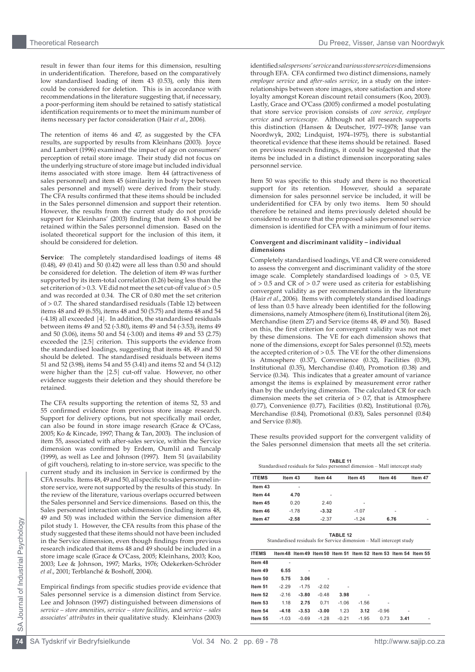result in fewer than four items for this dimension, resulting in underidentification. Therefore, based on the comparatively low standardised loading of item 43 (0.53), only this item could be considered for deletion. This is in accordance with recommendations in the literature suggesting that, if necessary, a poor-performing item should be retained to satisfy statistical identification requirements or to meet the minimum number of items necessary per factor consideration (Hair *et al*., 2006).

The retention of items 46 and 47, as suggested by the CFA results, are supported by results from Kleinhans (2003). Joyce and Lambert (1996) examined the impact of age on consumers' perception of retail store image. Their study did not focus on the underlying structure of store image but included individual items associated with store image. Item 44 (attractiveness of sales personnel) and item 45 (similarity in body type between sales personnel and myself) were derived from their study. The CFA results confirmed that these items should be included in the Sales personnel dimension and support their retention. However, the results from the current study do not provide support for Kleinhans' (2003) finding that item 43 should be retained within the Sales personnel dimension. Based on the isolated theoretical support for the inclusion of this item, it should be considered for deletion.

**Service**: The completely standardised loadings of items 48 (0.48), 49 (0.41) and 50 (0.42) were all less than 0.50 and should be considered for deletion. The deletion of item 49 was further supported by its item-total correlation (0.26) being less than the set criterion of > 0.3. VE did not meet the set cut-off value of > 0.5 and was recorded at 0.34. The CR of 0.80 met the set criterion of > 0.7. The shared standardised residuals (Table 12) between items 48 and 49 (6.55), items 48 and 50 (5.75) and items 48 and 54  $(-4.18)$  all exceeded  $|4|$ . In addition, the standardised residuals between items 49 and 52 (-3.80), items 49 and 54 (-3.53), items 49 and 50 (3.06), items 50 and 54 (-3.00) and items 49 and 53 (2.75) exceeded the |2.5| criterion. This supports the evidence from the standardised loadings, suggesting that items 48, 49 and 50 should be deleted. The standardised residuals between items 51 and 52 (3.98), items 54 and 55 (3.41) and items 52 and 54 (3.12) were higher than the |2.5| cut-off value. However, no other evidence suggests their deletion and they should therefore be retained.

The CFA results supporting the retention of items 52, 53 and 55 confirmed evidence from previous store image research. Support for delivery options, but not specifically mail order, can also be found in store image research (Grace & O'Cass, 2005; Ko & Kincade, 1997; Thang & Tan, 2003). The inclusion of item 55, associated with after-sales service, within the Service dimension was confirmed by Erdem, Oumlil and Tuncalp (1999), as well as Lee and Johnson (1997). Item 51 (availability of gift vouchers), relating to in-store service, was specific to the current study and its inclusion in Service is confirmed by the CFA results. Items 48, 49 and 50, all specific to sales personnel instore service, were not supported by the results of this study. In the review of the literature, various overlaps occurred between the Sales personnel and Service dimensions. Based on this, the Sales personnel interaction subdimension (including items 48, 49 and 50) was included within the Service dimension after pilot study 1. However, the CFA results from this phase of the study suggested that these items should not have been included in the Service dimension, even though findings from previous research indicated that items 48 and 49 should be included in a store image scale (Grace & O'Cass, 2005; Kleinhans, 2003; Koo, 2003; Lee & Johnson, 1997; Marks, 1976; Odekerken-Schröder *et al*., 2001; Terblanché & Boshoff, 2004).

Empirical findings from specific studies provide evidence that Sales personnel service is a dimension distinct from Service. Lee and Johnson (1997) distinguished between dimensions of *service – store amenities, service – store facilities*, and s*ervice – sales associates' attributes* in their qualitative study. Kleinhans (2003) identified *salespersons' service* and *various store services* dimensions through EFA. CFA confirmed two distinct dimensions, namely *employee service* and *after-sales service*, in a study on the interrelationships between store images, store satisfaction and store loyalty amongst Korean discount retail consumers (Koo, 2003). Lastly, Grace and O'Cass (2005) confirmed a model postulating that store service provision consists of *core service, employee service* and *servicescape*. Although not all research supports this distinction (Hansen & Deutscher, 1977–1978; Janse van Noordwyk, 2002; Lindquist, 1974–1975), there is substantial theoretical evidence that these items should be retained. Based on previous research findings, it could be suggested that the items be included in a distinct dimension incorporating sales personnel service.

Item 50 was specific to this study and there is no theoretical support for its retention. However, should a separate However, should a separate dimension for sales personnel service be included, it will be underidentified for CFA by only two items. Item 50 should therefore be retained and items previously deleted should be considered to ensure that the proposed sales personnel service dimension is identified for CFA with a minimum of four items.

#### **Convergent and discriminant validity – individual dimensions**

Completely standardised loadings, VE and CR were considered to assess the convergent and discriminant validity of the store image scale. Completely standardised loadings of  $> 0.5$ , VE of  $> 0.5$  and CR of  $> 0.7$  were used as criteria for establishing convergent validity as per recommendations in the literature (Hair *et al*., 2006). Items with completely standardised loadings of less than 0.5 have already been identified for the following dimensions, namely Atmosphere (item 6), Institutional (item 26), Merchandise (item 27) and Service (items 48, 49 and 50). Based on this, the first criterion for convergent validity was not met by these dimensions. The VE for each dimension shows that none of the dimensions, except for Sales personnel (0.52), meets the accepted criterion of  $> 0.5$ . The VE for the other dimensions is Atmosphere (0.37), Convenience (0.32), Facilities (0.39), Institutional (0.35), Merchandise (0.40), Promotion (0.38) and Service (0.34). This indicates that a greater amount of variance amongst the items is explained by measurement error rather than by the underlying dimension. The calculated CR for each dimension meets the set criteria of > 0.7, that is Atmosphere (0.77), Convenience (0.77), Facilities (0.82), Institutional (0.76), Merchandise (0.84), Promotional (0.83), Sales personnel (0.84) and Service (0.80).

These results provided support for the convergent validity of the Sales personnel dimension that meets all the set criteria.

**TABLE 11**<br>Standardised residuals for Sales personnel dimension – Mall intercept study

| <b>ITEMS</b> | Item 43 | Item 44 | Item 45 | Item 46 | Item 47 |
|--------------|---------|---------|---------|---------|---------|
| Item 43      | ۰       |         |         |         |         |
| Item 44      | 4.70    | ۰       |         |         |         |
| Item 45      | 0.20    | 2.40    | ۰       |         |         |
| Item 46      | $-1.78$ | $-3.32$ | $-1.07$ | ۰       |         |
| Item 47      | $-2.58$ | $-2.37$ | $-1.24$ | 6.76    | ۰       |

**Table 12**

Standardised residuals for Service dimension – Mall intercept study

| <b>ITEMS</b> |         |         |         |         | Item 48 Item 49 Item 50 Item 51 Item 52 Item 53 Item 54 Item 55 |         |      |  |
|--------------|---------|---------|---------|---------|-----------------------------------------------------------------|---------|------|--|
| Item 48      |         |         |         |         |                                                                 |         |      |  |
| Item 49      | 6.55    |         |         |         |                                                                 |         |      |  |
| Item 50      | 5.75    | 3.06    |         |         |                                                                 |         |      |  |
| Item 51      | $-2.29$ | $-1.75$ | $-2.02$ |         |                                                                 |         |      |  |
| Item 52      | $-2.16$ | $-3.80$ | $-0.48$ | 3.98    | ۰                                                               |         |      |  |
| Item 53      | 1.18    | 2.75    | 0.71    | $-1.06$ | $-1.56$                                                         | ٠       |      |  |
| Item 54      | $-4.18$ | $-3.53$ | $-3.00$ | 1.23    | 3.12                                                            | $-0.96$ | ۰    |  |
| Item 55      | $-1.03$ | $-0.69$ | $-1.28$ | $-0.21$ | $-1.95$                                                         | 0.73    | 3.41 |  |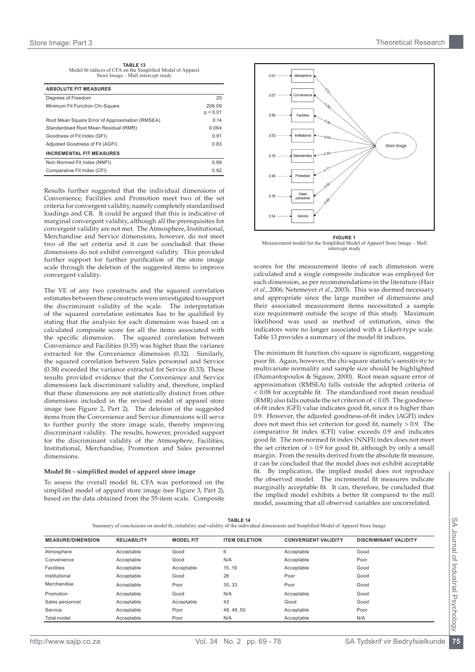**Table 13** Model fit indices of CFA on the Simplified Model of Apparel Store Image – Mall intercept study

| <b>ABSOLUTE FIT MEASURES</b>                    |                    |
|-------------------------------------------------|--------------------|
| Degrees of Freedom                              | 20                 |
| Minimum Fit Function Chi-Square                 | 206.09<br>p < 0.01 |
| Root Mean Square Error of Approximation (RMSEA) | 0.14               |
| Standardised Root Mean Residual (RMR)           | 0.064              |
| Goodness of Fit Index (GFI)                     | 0.91               |
| Adjusted Goodness of Fit (AGFI)                 | 0.83               |
| <b>INCREMENTAL FIT MEASURES</b>                 |                    |
| Non-Normed Fit Index (NNFI)                     | 0.89               |
| Comparative Fit Index (CFI)                     | 0.92               |

Results further suggested that the individual dimensions of Convenience, Facilities and Promotion meet two of the set criteria for convergent validity, namely completely standardised loadings and CR. It could be argued that this is indicative of marginal convergent validity, although all the prerequisites for convergent validity are not met. The Atmosphere, Institutional, Merchandise and Service dimensions, however, do not meet two of the set criteria and it can be concluded that these dimensions do not exhibit convergent validity. This provided further support for further purification of the store image scale through the deletion of the suggested items to improve convergent validity.

The VE of any two constructs and the squared correlation estimates between these constructs were investigated to support the discriminant validity of the scale. The interpretation of the squared correlation estimates has to be qualified by stating that the analysis for each dimension was based on a calculated composite score for all the items associated with the specific dimension. The squared correlation between Convenience and Facilities (0.35) was higher than the variance extracted for the Convenience dimension (0.32). Similarly, the squared correlation between Sales personnel and Service (0.38) exceeded the variance extracted for Service (0.33). These results provided evidence that the Convenience and Service dimensions lack discriminant validity and, therefore, implied that these dimensions are not statistically distinct from other dimensions included in the revised model of apparel store image (see Figure 2, Part 2). The deletion of the suggested items from the Convenience and Service dimensions will serve to further purify the store image scale, thereby improving discriminant validity. The results, however, provided support for the discriminant validity of the Atmosphere, Facilities, Institutional, Merchandise, Promotion and Sales personnel dimensions.

#### **Model fit – simplified model of apparel store image**

To assess the overall model fit, CFA was performed on the simplified model of apparel store image (see Figure 3, Part 2), based on the data obtained from the 55-item scale. Composite





scores for the measurement items of each dimension were calculated and a single composite indicator was employed for each dimension, as per recommendations in the literature (Hair *et al*., 2006; Netemeyer *et al*., 2003). This was deemed necessary and appropriate since the large number of dimensions and their associated measurement items necessitated a sample size requirement outside the scope of this study. Maximum likelihood was used as method of estimation, since the indicators were no longer associated with a Likert-type scale. Table 13 provides a summary of the model fit indices.

The minimum fit function chi-square is significant, suggesting poor fit. Again, however, the chi-square statistic's sensitivity to multivariate normality and sample size should be highlighted (Diamantopoulos & Sigauw, 2000). Root mean square error of approximation (RMSEA) falls outside the adopted criteria of < 0.08 for acceptable fit. The standardised root mean residual (RMR) also falls outside the set criterion of < 0.05. The goodnessof-fit index (GFI) value indicates good fit, since it is higher than 0.9. However, the adjusted goodness-of-fit index (AGFI) index does not meet this set criterion for good fit, namely > 0.9. The comparative fit index (CFI) value exceeds 0.9 and indicates good fit. The non-normed fit index (NNFI) index does not meet the set criterion of > 0.9 for good fit, although by only a small margin. From the results derived from the absolute fit measure, it can be concluded that the model does not exhibit acceptable fit. By implication, the implied model does not reproduce the observed model. The incremental fit measures indicate marginally acceptable fit. It can, therefore, be concluded that the implied model exhibits a better fit compared to the null model, assuming that all observed variables are uncorrelated.

**Table 14** Summary of conclusions on model fit, reliability and validity of the individual dimensions and Simplified Model of Apparel Store Image

| <b>MEASURE/DIMENSION</b> | <b>RELIABILITY</b> | <b>MODEL FIT</b> | <b>ITEM DELETION</b> | <b>CONVERGENT VALIDITY</b> | <b>DISCRIMINANT VALIDITY</b> |
|--------------------------|--------------------|------------------|----------------------|----------------------------|------------------------------|
| Atmosphere               | Acceptable         | Good             | 6                    | Acceptable                 | Good                         |
| Convenience              | Acceptable         | Good             | N/A                  | Acceptable                 | Poor                         |
| <b>Facilities</b>        | Acceptable         | Acceptable       | 15.19                | Acceptable                 | Good                         |
| Institutional            | Acceptable         | Good             | 26                   | Poor                       | Good                         |
| Merchandise              | Acceptable         | Poor             | 30.33                | Poor                       | Good                         |
| Promotion                | Acceptable         | Good             | N/A                  | Acceptable                 | Good                         |
| Sales personnel          | Acceptable         | Acceptable       | 43                   | Good                       | Good                         |
| Service                  | Acceptable         | Poor             | 48.49.50             | Acceptable                 | Poor                         |
| Total model              | Acceptable         | Poor             | N/A                  | Acceptable                 | N/A                          |

SA Journal of Industrial Psychology

SA Journal of Industrial Psychology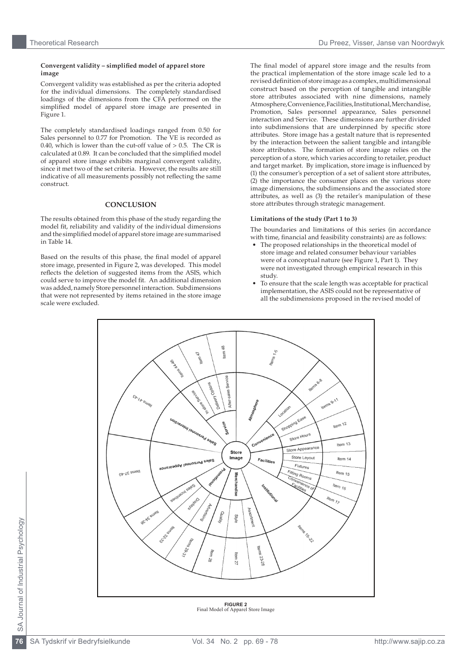## Theoretical Research Du Preez, Visser, Janse van Noordwyk

#### **Convergent validity – simplified model of apparel store image**

Convergent validity was established as per the criteria adopted for the individual dimensions. The completely standardised loadings of the dimensions from the CFA performed on the simplified model of apparel store image are presented in Figure 1.

The completely standardised loadings ranged from 0.50 for Sales personnel to 0.77 for Promotion. The VE is recorded as 0.40, which is lower than the cut-off value of  $> 0.5$ . The CR is calculated at 0.89. It can be concluded that the simplified model of apparel store image exhibits marginal convergent validity, since it met two of the set criteria. However, the results are still indicative of all measurements possibly not reflecting the same construct.

## **CONCLUSION**

The results obtained from this phase of the study regarding the model fit, reliability and validity of the individual dimensions and the simplified model of apparel store image are summarised in Table 14.

Based on the results of this phase, the final model of apparel store image, presented in Figure 2, was developed. This model reflects the deletion of suggested items from the ASIS, which could serve to improve the model fit. An additional dimension was added, namely Store personnel interaction. Subdimensions that were not represented by items retained in the store image scale were excluded.

The final model of apparel store image and the results from the practical implementation of the store image scale led to a revised definition of store image as a complex, multidimensional construct based on the perception of tangible and intangible store attributes associated with nine dimensions, namely Atmosphere, Convenience, Facilities, Institutional, Merchandise, Promotion, Sales personnel appearance, Sales personnel interaction and Service. These dimensions are further divided into subdimensions that are underpinned by specific store attributes. Store image has a gestalt nature that is represented by the interaction between the salient tangible and intangible store attributes. The formation of store image relies on the perception of a store, which varies according to retailer, product and target market. By implication, store image is influenced by (1) the consumer's perception of a set of salient store attributes, (2) the importance the consumer places on the various store image dimensions, the subdimensions and the associated store attributes, as well as (3) the retailer's manipulation of these store attributes through strategic management.

#### **Limitations of the study (Part 1 to 3)**

The boundaries and limitations of this series (in accordance with time, financial and feasibility constraints) are as follows:

- The proposed relationships in the theoretical model of store image and related consumer behaviour variables were of a conceptual nature (see Figure 1, Part 1). They were not investigated through empirical research in this study.
- To ensure that the scale length was acceptable for practical implementation, the ASIS could not be representative of all the subdimensions proposed in the revised model of



**Figure 2** Final Model of Apparel Store Image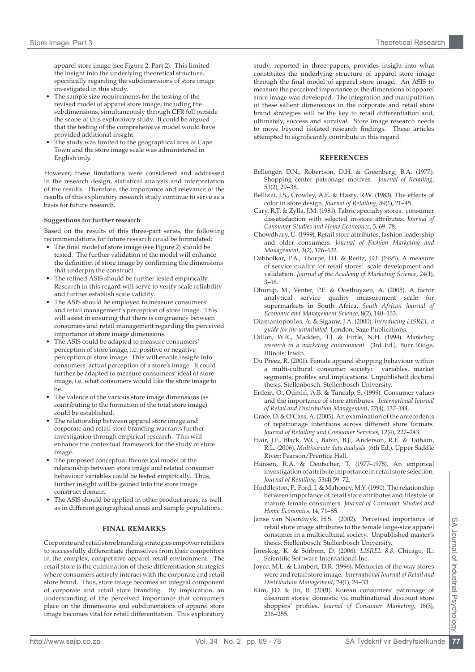apparel store image (see Figure 2, Part 2). This limited the insight into the underlying theoretical structure, specifically regarding the subdimensions of store image investigated in this study.

- The sample size requirements for the testing of the revised model of apparel store image, including the subdimensions, simultaneously through CFR fell outside the scope of this exploratory study. It could be argued that the testing of the comprehensive model would have provided additional insight.
- The study was limited to the geographical area of Cape Town and the store image scale was administered in English only.

However, these limitations were considered and addressed in the research design, statistical analysis and interpretation of the results. Therefore, the importance and relevance of the results of this exploratory research study continue to serve as a basis for future research.

## **Suggestions for further research**

Based on the results of this three-part series, the following recommendations for future research could be formulated:

- The final model of store image (see Figure 2) should be tested. The further validation of the model will enhance the definition of store image by confirming the dimensions that underpin the construct.
- The refined ASIS should be further tested empirically. Research in this regard will serve to verify scale reliability and further establish scale validity.
- The ASIS should be employed to measure consumers' and retail management's perception of store image. This will assist in ensuring that there is congruency between consumers and retail management regarding the perceived importance of store image dimensions.
- The ASIS could be adapted to measure consumers' perception of store image, i.e. positive or negative perception of store image. This will enable insight into consumers' actual perception of a store's image. It could further be adapted to measure consumers' ideal of store image, i.e. what consumers would like the store image to be.
- The valence of the various store image dimensions (as contributing to the formation of the total store image) could be established.
- The relationship between apparel store image and corporate and retail store branding warrants further investigation through empirical research. This will enhance the contextual framework for the study of store image.
- The proposed conceptual theoretical model of the relationship between store image and related consumer behaviour variables could be tested empirically. Thus, further insight will be gained into the store image construct domain.
- The ASIS should be applied in other product areas, as well as in different geographical areas and sample populations.

# **FINAL REMARKS**

Corporate and retail store branding strategies empower retailers to successfully differentiate themselves from their competitors in the complex, competitive apparel retail environment. The retail store is the culmination of these differentiation strategies where consumers actively interact with the corporate and retail store brand. Thus, store image becomes an integral component of corporate and retail store branding. By implication, an understanding of the perceived importance that consumers place on the dimensions and subdimensions of apparel store image becomes vital for retail differentiation. This exploratory study, reported in three papers, provides insight into what constitutes the underlying structure of apparel store image through the final model of apparel store image. An ASIS to measure the perceived importance of the dimensions of apparel store image was developed. The integration and manipulation of these salient dimensions in the corporate and retail store brand strategies will be the key to retail differentiation and, ultimately, success and survival. Store image research needs to move beyond isolated research findings. These articles attempted to significantly contribute in this regard.

## **REFERENCES**

- Bellenger, D.N., Robertson, D.H. & Greenberg, B.A. (1977). Shopping center patronage motives. *Journal of Retailing*, 53(2), 29–38.
- Bellizzi, J.S., Crowley, A.E. & Hasty, R.W. (1983). The effects of color in store design. *Journal of Retailing*, 59(1), 21–45.
- Cary, R.T. & Zylla, J.M. (1981). Fabric specialty stores: consumer dissatisfaction with selected in-store attributes. *Journal of Consumer Studies and Home Economics*, 5, 69–78.
- Chowdhary, U. (1999). Retail store attributes, fashion leadership and older consumers. *Journal of Fashion Marketing and Management*, 3(2), 126–132.
- Dabholkar, P.A., Thorpe, D.I. & Rentz, J.O. (1995). A measure of service quality for retail stores: scale development and validation. *Journal of the Academy of Marketing Science*, 24(1), 3–16.
- Dhurup, M., Venter, P.F. & Oosthuyzen, A. (2005). A factor analytical service quality measurement scale for supermarkets in South Africa. *South African Journal of Economic and Management Science*, 8(2), 140–153.
- Diamantopoulos, A. & Sigauw, J.A. (2000). *Introducing LISREL: a guide for the uninitiated*. London: Sage Publications.
- Dillon, W.R., Madden, T.J. & Firtle, N.H. (1994). *Marketing research in a marketing environment* (3rd Ed.). Burr Ridge, Illinois: Irwin.
- Du Preez, R. (2001). Female apparel shopping behaviour within a multi-cultural consumer society: variables, market segments, profiles and implications. Unpublished doctoral thesis. Stellenbosch: Stellenbosch University.
- Erdem, O., Oumlil, A.B. & Tuncalp, S. (1999). Consumer values and the importance of store attributes. *International Journal of Retail and Distribution Management*, 27(4), 137–144.
- Grace, D. & O'Cass, A. (2005). An examination of the antecedents of repatronage intentions across different store formats. *Journal of Retailing and Consumer Services*, 12(4), 227–243.
- Hair, J.F., Black, W.C., Babin, B.J., Anderson, R.E. & Tatham, R.L. (2006). *Multivariate data analysis* (6th Ed.). Upper Saddle River: Pearson/Prentice Hall.
- Hansen, R.A. & Deutscher, T. (1977–1978). An empirical investigation of attribute importance in retail store selection. *Journal of Retailing*, 53(4):59–72.
- Huddleston, P., Ford, I. & Mahoney, M.Y. (1990). The relationship between importance of retail store attributes and lifestyle of mature female consumers. *Journal of Consumer Studies and Home Economics*, 14, 71–85.
- Janse van Noordwyk, H.S. (2002). Perceived importance of retail store image attributes to the female large-size apparel consumer in a multicultural society. Unpublished master's thesis. Stellenbosch: Stellenbosch University.
- Jöreskog, K. & Sörbom, D. (2006). *LISREL 8.8.* Chicago, IL: Scientific Software International Inc.
- Joyce, M.L. & Lambert, D.R. (1996). Memories of the way stores were and retail store image. *International Journal of Retail and Distribution Management*, 24(1), 24–33.
- Kim, J.O. & Jin, B. (2001). Korean consumers' patronage of discount stores: domestic vs. multinational discount store shoppers' profiles. *Journal of Consumer Marketing*, 18(3), 236–255.